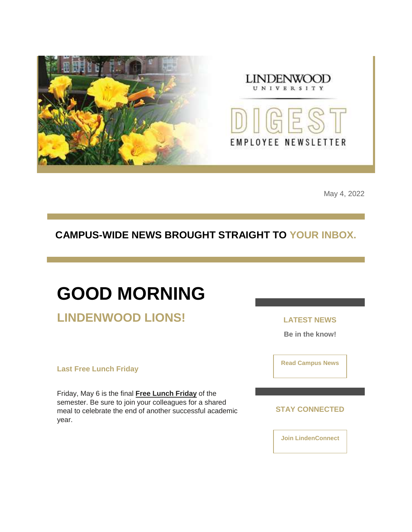



May 4, 2022

### **CAMPUS-WIDE NEWS BROUGHT STRAIGHT TO YOUR INBOX.**

# **GOOD MORNING**

**LINDENWOOD LIONS!**

**Last Free Lunch Friday**

Friday, May 6 is the final **[Free Lunch Friday](https://nam04.safelinks.protection.outlook.com/?url=https%3A%2F%2Fr20.rs6.net%2Ftn.jsp%3Ff%3D001qOhG47Rw4u5toYn1balY8HvEs94HSD3sFDjdBbWDCCHFwMCsDArmowY1nKQz4dDjMsQ9LAB819YxNu-ud2lFSxNR6BlVZ789QvsVM8XSBkHkkJK3bLTQCiVRzQFIZLvCzVWpORK1AwEWsJM797GYkFCQFalowwP1VpKo4b0je4yUmgv-ckaf6tU_tfqaGQPgMeID8lyz-5E%3D%26c%3DhV4WlzT-TvjFWJsTAXV2IFj9j1IuaGSuI51wOVGWPu9ZO1ffptbasQ%3D%3D%26ch%3DJe0Mb5Cdo_TPE-n8x-deMODW9pTYgBJ0zhkJCyvUgc-RdXV1h9umsA%3D%3D&data=05%7C01%7Cphuffman%40lindenwood.edu%7Ca855865c0bbc4c32b6e608da2ddab439%7C3d72f08e540a4c68905d9e69c4d9c61e%7C1%7C0%7C637872714616432627%7CUnknown%7CTWFpbGZsb3d8eyJWIjoiMC4wLjAwMDAiLCJQIjoiV2luMzIiLCJBTiI6Ik1haWwiLCJXVCI6Mn0%3D%7C3000%7C%7C%7C&sdata=aPF29vaWPLf1k7dUEgWhmkRGpBlqv8sq5jiAAPXOlTU%3D&reserved=0)** of the semester. Be sure to join your colleagues for a shared meal to celebrate the end of another successful academic year.

**LATEST NEWS**

**Be in the know!** 

**[Read Campus News](https://nam04.safelinks.protection.outlook.com/?url=https%3A%2F%2Fr20.rs6.net%2Ftn.jsp%3Ff%3D001qOhG47Rw4u5toYn1balY8HvEs94HSD3sFDjdBbWDCCHFwMCsDArmox2NSQ79mRHVJyGqflqucpi4XaHRy8UJP06rzvqf1Xpy50E0XzBmQPd3yfTqRIGtxHbEQUDaO-a6FjTcyfCuiu132jxAwolpZqANsYfmNCqhRN7mAUgcvC0%3D%26c%3DhV4WlzT-TvjFWJsTAXV2IFj9j1IuaGSuI51wOVGWPu9ZO1ffptbasQ%3D%3D%26ch%3DJe0Mb5Cdo_TPE-n8x-deMODW9pTYgBJ0zhkJCyvUgc-RdXV1h9umsA%3D%3D&data=05%7C01%7Cphuffman%40lindenwood.edu%7Ca855865c0bbc4c32b6e608da2ddab439%7C3d72f08e540a4c68905d9e69c4d9c61e%7C1%7C0%7C637872714616432627%7CUnknown%7CTWFpbGZsb3d8eyJWIjoiMC4wLjAwMDAiLCJQIjoiV2luMzIiLCJBTiI6Ik1haWwiLCJXVCI6Mn0%3D%7C3000%7C%7C%7C&sdata=Dr4w2QiRLayFPvvJRaht4ST6pYfTXVxLgyTsT9nlND8%3D&reserved=0)**

**STAY CONNECTED**

**[Join LindenConnect](https://nam04.safelinks.protection.outlook.com/?url=https%3A%2F%2Fr20.rs6.net%2Ftn.jsp%3Ff%3D001qOhG47Rw4u5toYn1balY8HvEs94HSD3sFDjdBbWDCCHFwMCsDArmo76tcT48JWG8Ib9un90vmhXtXBA-7u-nLOMDq32mrTdfuW-1827O2lhAol7JS_IvKQc5PWQEpezKJm1RAWEtmVqZssBIhyguLY8vFYeuGCa62a7sr6uuB7E%3D%26c%3DhV4WlzT-TvjFWJsTAXV2IFj9j1IuaGSuI51wOVGWPu9ZO1ffptbasQ%3D%3D%26ch%3DJe0Mb5Cdo_TPE-n8x-deMODW9pTYgBJ0zhkJCyvUgc-RdXV1h9umsA%3D%3D&data=05%7C01%7Cphuffman%40lindenwood.edu%7Ca855865c0bbc4c32b6e608da2ddab439%7C3d72f08e540a4c68905d9e69c4d9c61e%7C1%7C0%7C637872714616432627%7CUnknown%7CTWFpbGZsb3d8eyJWIjoiMC4wLjAwMDAiLCJQIjoiV2luMzIiLCJBTiI6Ik1haWwiLCJXVCI6Mn0%3D%7C3000%7C%7C%7C&sdata=1OdPcvE2zqgMWwyqGF6zhxb434zt8p9FD1MTrPLjCrc%3D&reserved=0)**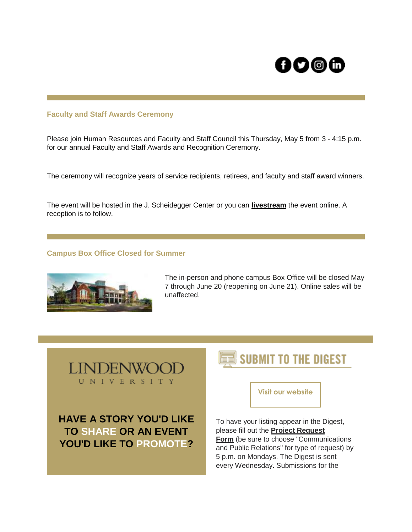# OO@G

#### **Faculty and Staff Awards Ceremony**

Please join Human Resources and Faculty and Staff Council this Thursday, May 5 from 3 - 4:15 p.m. for our annual Faculty and Staff Awards and Recognition Ceremony.

The ceremony will recognize years of service recipients, retirees, and faculty and staff award winners.

The event will be hosted in the J. Scheidegger Center or you can **[livestream](https://nam04.safelinks.protection.outlook.com/?url=https%3A%2F%2Fr20.rs6.net%2Ftn.jsp%3Ff%3D001qOhG47Rw4u5toYn1balY8HvEs94HSD3sFDjdBbWDCCHFwMCsDArmoxWlI-cnLNvboat2GEXDlkrBnRUPcCjjDuuXZIqRtgTMDO5Hl8O5Dj6jUr7TRB5PUUau98gXulfObQEmix5QpypteXNfTZuctj0bnl6xJngwHGDbGFbQUQZa5hvtOHpCyg%3D%3D%26c%3DhV4WlzT-TvjFWJsTAXV2IFj9j1IuaGSuI51wOVGWPu9ZO1ffptbasQ%3D%3D%26ch%3DJe0Mb5Cdo_TPE-n8x-deMODW9pTYgBJ0zhkJCyvUgc-RdXV1h9umsA%3D%3D&data=05%7C01%7Cphuffman%40lindenwood.edu%7Ca855865c0bbc4c32b6e608da2ddab439%7C3d72f08e540a4c68905d9e69c4d9c61e%7C1%7C0%7C637872714616432627%7CUnknown%7CTWFpbGZsb3d8eyJWIjoiMC4wLjAwMDAiLCJQIjoiV2luMzIiLCJBTiI6Ik1haWwiLCJXVCI6Mn0%3D%7C3000%7C%7C%7C&sdata=2Holq4w1%2Bz%2BkWC%2Fv%2Bjfhddk7OlqNkxohAQ%2BoQrjYb0g%3D&reserved=0)** the event online. A reception is to follow.

#### **Campus Box Office Closed for Summer**



The in-person and phone campus Box Office will be closed May 7 through June 20 (reopening on June 21). Online sales will be unaffected.



**HAVE A STORY YOU'D LIKE TO SHARE OR AN EVENT YOU'D LIKE TO PROMOTE?** 

## **SUBMIT TO THE DIGEST**

**Visit our website**

To have your listing appear in the Digest, please fill out the **[Project Request](https://nam04.safelinks.protection.outlook.com/?url=https%3A%2F%2Fr20.rs6.net%2Ftn.jsp%3Ff%3D001qOhG47Rw4u5toYn1balY8HvEs94HSD3sFDjdBbWDCCHFwMCsDArmo7T56Xfpzf9xCvnizhPj_WB_-AxXWtY4TDouJgsqSxJTqVErWWnMyNePYLRnG-Lo2-udTIBmkr6GK9t1ZCOEr5n9gqdKcNmDpbmK21A7DAtohzQsug9czM-9OdHw1hVxRjkFUhkxRRJM8IG7TqVpxfc6D4th7KDAssQ1Ryrn3_1G%26c%3DhV4WlzT-TvjFWJsTAXV2IFj9j1IuaGSuI51wOVGWPu9ZO1ffptbasQ%3D%3D%26ch%3DJe0Mb5Cdo_TPE-n8x-deMODW9pTYgBJ0zhkJCyvUgc-RdXV1h9umsA%3D%3D&data=05%7C01%7Cphuffman%40lindenwood.edu%7Ca855865c0bbc4c32b6e608da2ddab439%7C3d72f08e540a4c68905d9e69c4d9c61e%7C1%7C0%7C637872714616588848%7CUnknown%7CTWFpbGZsb3d8eyJWIjoiMC4wLjAwMDAiLCJQIjoiV2luMzIiLCJBTiI6Ik1haWwiLCJXVCI6Mn0%3D%7C3000%7C%7C%7C&sdata=w%2BBsdPqcBWe%2BmcGjf%2FFu0%2Bzf9J%2FvT6DG3Rueh1h0g40%3D&reserved=0)  [Form](https://nam04.safelinks.protection.outlook.com/?url=https%3A%2F%2Fr20.rs6.net%2Ftn.jsp%3Ff%3D001qOhG47Rw4u5toYn1balY8HvEs94HSD3sFDjdBbWDCCHFwMCsDArmo7T56Xfpzf9xCvnizhPj_WB_-AxXWtY4TDouJgsqSxJTqVErWWnMyNePYLRnG-Lo2-udTIBmkr6GK9t1ZCOEr5n9gqdKcNmDpbmK21A7DAtohzQsug9czM-9OdHw1hVxRjkFUhkxRRJM8IG7TqVpxfc6D4th7KDAssQ1Ryrn3_1G%26c%3DhV4WlzT-TvjFWJsTAXV2IFj9j1IuaGSuI51wOVGWPu9ZO1ffptbasQ%3D%3D%26ch%3DJe0Mb5Cdo_TPE-n8x-deMODW9pTYgBJ0zhkJCyvUgc-RdXV1h9umsA%3D%3D&data=05%7C01%7Cphuffman%40lindenwood.edu%7Ca855865c0bbc4c32b6e608da2ddab439%7C3d72f08e540a4c68905d9e69c4d9c61e%7C1%7C0%7C637872714616588848%7CUnknown%7CTWFpbGZsb3d8eyJWIjoiMC4wLjAwMDAiLCJQIjoiV2luMzIiLCJBTiI6Ik1haWwiLCJXVCI6Mn0%3D%7C3000%7C%7C%7C&sdata=w%2BBsdPqcBWe%2BmcGjf%2FFu0%2Bzf9J%2FvT6DG3Rueh1h0g40%3D&reserved=0)** (be sure to choose "Communications and Public Relations" for type of request) by 5 p.m. on Mondays. The Digest is sent every Wednesday. Submissions for the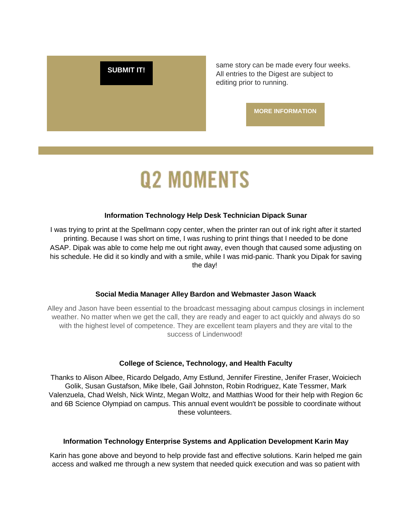**[SUBMIT IT!](https://nam04.safelinks.protection.outlook.com/?url=https%3A%2F%2Fr20.rs6.net%2Ftn.jsp%3Ff%3D001qOhG47Rw4u5toYn1balY8HvEs94HSD3sFDjdBbWDCCHFwMCsDArmo7T56Xfpzf9xCvnizhPj_WB_-AxXWtY4TDouJgsqSxJTqVErWWnMyNePYLRnG-Lo2-udTIBmkr6GK9t1ZCOEr5n9gqdKcNmDpbmK21A7DAtohzQsug9czM-9OdHw1hVxRjkFUhkxRRJM8IG7TqVpxfc6D4th7KDAssQ1Ryrn3_1G%26c%3DhV4WlzT-TvjFWJsTAXV2IFj9j1IuaGSuI51wOVGWPu9ZO1ffptbasQ%3D%3D%26ch%3DJe0Mb5Cdo_TPE-n8x-deMODW9pTYgBJ0zhkJCyvUgc-RdXV1h9umsA%3D%3D&data=05%7C01%7Cphuffman%40lindenwood.edu%7Ca855865c0bbc4c32b6e608da2ddab439%7C3d72f08e540a4c68905d9e69c4d9c61e%7C1%7C0%7C637872714616588848%7CUnknown%7CTWFpbGZsb3d8eyJWIjoiMC4wLjAwMDAiLCJQIjoiV2luMzIiLCJBTiI6Ik1haWwiLCJXVCI6Mn0%3D%7C3000%7C%7C%7C&sdata=w%2BBsdPqcBWe%2BmcGjf%2FFu0%2Bzf9J%2FvT6DG3Rueh1h0g40%3D&reserved=0)** Same story can be made every four weeks. All entries to the Digest are subject to editing prior to running.

**[MORE INFORMATION](https://nam04.safelinks.protection.outlook.com/?url=https%3A%2F%2Fr20.rs6.net%2Ftn.jsp%3Ff%3D001qOhG47Rw4u5toYn1balY8HvEs94HSD3sFDjdBbWDCCHFwMCsDArmox2NSQ79mRHVNu3YkDs3z1vniz8rrlasqKvJyG0NVUgBmprNbmQiZItBrD6xsR7zk70Jc-1ZDwDOkIdPochkl1e89ZXDs8MQnGAaLFoItj2pY1KqGbtrUiOzDnM4MptVm5083CYFiYnfIN3967nLhLTLtSatf_eNp7Ej6rTvhAFiXyYr7nGiGLt_c8E1Wl2fIw%3D%3D%26c%3DhV4WlzT-TvjFWJsTAXV2IFj9j1IuaGSuI51wOVGWPu9ZO1ffptbasQ%3D%3D%26ch%3DJe0Mb5Cdo_TPE-n8x-deMODW9pTYgBJ0zhkJCyvUgc-RdXV1h9umsA%3D%3D&data=05%7C01%7Cphuffman%40lindenwood.edu%7Ca855865c0bbc4c32b6e608da2ddab439%7C3d72f08e540a4c68905d9e69c4d9c61e%7C1%7C0%7C637872714616588848%7CUnknown%7CTWFpbGZsb3d8eyJWIjoiMC4wLjAwMDAiLCJQIjoiV2luMzIiLCJBTiI6Ik1haWwiLCJXVCI6Mn0%3D%7C3000%7C%7C%7C&sdata=%2FfNLCPFBndGogYdWgbwhSn78aE4QqLZOHN1Z6QtVeHg%3D&reserved=0)**

# **Q2 MOMENTS**

#### **Information Technology Help Desk Technician Dipack Sunar**

I was trying to print at the Spellmann copy center, when the printer ran out of ink right after it started printing. Because I was short on time, I was rushing to print things that I needed to be done ASAP. Dipak was able to come help me out right away, even though that caused some adjusting on his schedule. He did it so kindly and with a smile, while I was mid-panic. Thank you Dipak for saving the day!

#### **Social Media Manager Alley Bardon and Webmaster Jason Waack**

Alley and Jason have been essential to the broadcast messaging about campus closings in inclement weather. No matter when we get the call, they are ready and eager to act quickly and always do so with the highest level of competence. They are excellent team players and they are vital to the success of Lindenwood!

#### **College of Science, Technology, and Health Faculty**

Thanks to Alison Albee, Ricardo Delgado, Amy Estlund, Jennifer Firestine, Jenifer Fraser, Woiciech Golik, Susan Gustafson, Mike Ibele, Gail Johnston, Robin Rodriguez, Kate Tessmer, Mark Valenzuela, Chad Welsh, Nick Wintz, Megan Woltz, and Matthias Wood for their help with Region 6c and 6B Science Olympiad on campus. This annual event wouldn't be possible to coordinate without these volunteers.

#### **Information Technology Enterprise Systems and Application Development Karin May**

Karin has gone above and beyond to help provide fast and effective solutions. Karin helped me gain access and walked me through a new system that needed quick execution and was so patient with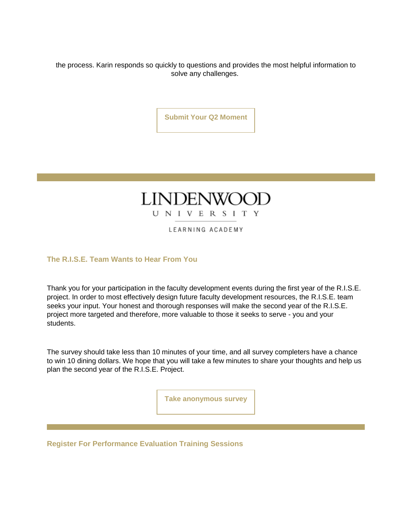the process. Karin responds so quickly to questions and provides the most helpful information to solve any challenges.

**[Submit Your Q2 Moment](https://nam04.safelinks.protection.outlook.com/?url=https%3A%2F%2Fr20.rs6.net%2Ftn.jsp%3Ff%3D001qOhG47Rw4u5toYn1balY8HvEs94HSD3sFDjdBbWDCCHFwMCsDArmox2NSQ79mRHVIMgDa0MCgoZ9ApO8jnLi2usj77GvEcXw1Lx1WUtyCx1nYxc_dxn05xrJgwdUyQ3o0d6H68pbETRnDygyHwr4Eti8X_DvA_5iSmaD57IXjuzNFgLD1O-VhHJqYGx4Z3fvZyriPJsJtgVsOzisIfTBIsJ3HavwPEwX0Jy5ocHwVPCHwYoZ9KHb2VonWn2Lks9yskJi-mnH5dKI1haX3HARFg%3D%3D%26c%3DhV4WlzT-TvjFWJsTAXV2IFj9j1IuaGSuI51wOVGWPu9ZO1ffptbasQ%3D%3D%26ch%3DJe0Mb5Cdo_TPE-n8x-deMODW9pTYgBJ0zhkJCyvUgc-RdXV1h9umsA%3D%3D&data=05%7C01%7Cphuffman%40lindenwood.edu%7Ca855865c0bbc4c32b6e608da2ddab439%7C3d72f08e540a4c68905d9e69c4d9c61e%7C1%7C0%7C637872714616588848%7CUnknown%7CTWFpbGZsb3d8eyJWIjoiMC4wLjAwMDAiLCJQIjoiV2luMzIiLCJBTiI6Ik1haWwiLCJXVCI6Mn0%3D%7C3000%7C%7C%7C&sdata=TEnN5wmCD2owLap4JS%2FW8zOUNM73z7zqQAW9dvauRAo%3D&reserved=0)**

### **LINDENWO** UNIVERSITY

LEARNING ACADEMY

**The R.I.S.E. Team Wants to Hear From You**

Thank you for your participation in the faculty development events during the first year of the R.I.S.E. project. In order to most effectively design future faculty development resources, the R.I.S.E. team seeks your input. Your honest and thorough responses will make the second year of the R.I.S.E. project more targeted and therefore, more valuable to those it seeks to serve - you and your students.

The survey should take less than 10 minutes of your time, and all survey completers have a chance to win 10 dining dollars. We hope that you will take a few minutes to share your thoughts and help us plan the second year of the R.I.S.E. Project.

**Take [anonymous survey](https://nam04.safelinks.protection.outlook.com/?url=https%3A%2F%2Fr20.rs6.net%2Ftn.jsp%3Ff%3D001qOhG47Rw4u5toYn1balY8HvEs94HSD3sFDjdBbWDCCHFwMCsDArmoxOjChwXyXcvujSf0I4iHuq4l1pUeZZE3Gz3_kaAue5kyyrU40KzevfF2ZZMzMWue4ekMKL6J7Zkm6IL0D2VRhcMnkAfWTR1aMHKBcakqweT7yRMcm-CLWYnOqmb-GcLDPa1LyKsdI49M-ZyF0NCcAU%3D%26c%3DhV4WlzT-TvjFWJsTAXV2IFj9j1IuaGSuI51wOVGWPu9ZO1ffptbasQ%3D%3D%26ch%3DJe0Mb5Cdo_TPE-n8x-deMODW9pTYgBJ0zhkJCyvUgc-RdXV1h9umsA%3D%3D&data=05%7C01%7Cphuffman%40lindenwood.edu%7Ca855865c0bbc4c32b6e608da2ddab439%7C3d72f08e540a4c68905d9e69c4d9c61e%7C1%7C0%7C637872714616588848%7CUnknown%7CTWFpbGZsb3d8eyJWIjoiMC4wLjAwMDAiLCJQIjoiV2luMzIiLCJBTiI6Ik1haWwiLCJXVCI6Mn0%3D%7C3000%7C%7C%7C&sdata=ACGQX%2BIY61p2kiLVT%2B8X%2Bh8wTIBPQyfO72wYRvDF8ic%3D&reserved=0)**

**Register For Performance Evaluation Training Sessions**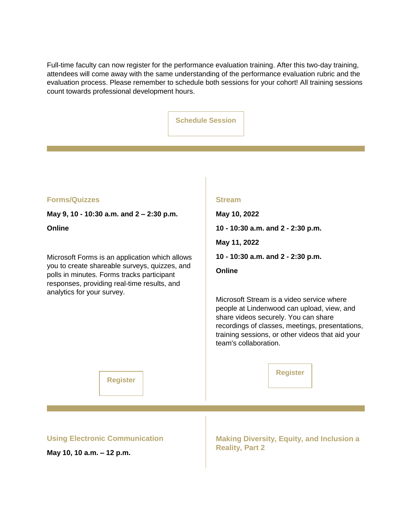Full-time faculty can now register for the performance evaluation training. After this two-day training, attendees will come away with the same understanding of the performance evaluation rubric and the evaluation process. Please remember to schedule both sessions for your cohort! All training sessions count towards professional development hours.

| <b>Schedule Session</b> |
|-------------------------|
|-------------------------|

| <b>FOrms/Quizze.</b> |  |
|----------------------|--|
|----------------------|--|

**May 9, 10 - 10:30 a.m. and 2 – 2:30 p.m.**

**Online**

Microsoft Forms is an application which allows you to create shareable surveys, quizzes, and polls in minutes. Forms tracks participant responses, providing real-time results, and analytics for your survey.

#### **Stream**

**May 10, 2022 10 - 10:30 a.m. and 2 - 2:30 p.m. May 11, 2022 10 - 10:30 a.m. and 2 - 2:30 p.m. Online**

Microsoft Stream is a video service where people at Lindenwood can upload, view, and share videos securely. You can share recordings of classes, meetings, presentations, training sessions, or other videos that aid your team's collaboration.

**[Register](https://nam04.safelinks.protection.outlook.com/?url=https%3A%2F%2Fr20.rs6.net%2Ftn.jsp%3Ff%3D001qOhG47Rw4u5toYn1balY8HvEs94HSD3sFDjdBbWDCCHFwMCsDArmoxOjChwXyXcvD9UWXoBakHj4Thxbw24hzQq8pZ5L1Xt0dOvruAv0b0w9a4_-d7OqITRWNzqgqR1HoWlJesq9vnRHbTgjyvfz-fanQAKFSrcXTHsWca2yLS8%3D%26c%3DhV4WlzT-TvjFWJsTAXV2IFj9j1IuaGSuI51wOVGWPu9ZO1ffptbasQ%3D%3D%26ch%3DJe0Mb5Cdo_TPE-n8x-deMODW9pTYgBJ0zhkJCyvUgc-RdXV1h9umsA%3D%3D&data=05%7C01%7Cphuffman%40lindenwood.edu%7Ca855865c0bbc4c32b6e608da2ddab439%7C3d72f08e540a4c68905d9e69c4d9c61e%7C1%7C0%7C637872714616588848%7CUnknown%7CTWFpbGZsb3d8eyJWIjoiMC4wLjAwMDAiLCJQIjoiV2luMzIiLCJBTiI6Ik1haWwiLCJXVCI6Mn0%3D%7C3000%7C%7C%7C&sdata=vPgY6QjGuGUBk5IBmwWj4V3xRzjnHK6Wo8yM0knMFdQ%3D&reserved=0)**

**[Register](https://nam04.safelinks.protection.outlook.com/?url=https%3A%2F%2Fr20.rs6.net%2Ftn.jsp%3Ff%3D001qOhG47Rw4u5toYn1balY8HvEs94HSD3sFDjdBbWDCCHFwMCsDArmoxOjChwXyXcvD9UWXoBakHj4Thxbw24hzQq8pZ5L1Xt0dOvruAv0b0w9a4_-d7OqITRWNzqgqR1HoWlJesq9vnRHbTgjyvfz-fanQAKFSrcXTHsWca2yLS8%3D%26c%3DhV4WlzT-TvjFWJsTAXV2IFj9j1IuaGSuI51wOVGWPu9ZO1ffptbasQ%3D%3D%26ch%3DJe0Mb5Cdo_TPE-n8x-deMODW9pTYgBJ0zhkJCyvUgc-RdXV1h9umsA%3D%3D&data=05%7C01%7Cphuffman%40lindenwood.edu%7Ca855865c0bbc4c32b6e608da2ddab439%7C3d72f08e540a4c68905d9e69c4d9c61e%7C1%7C0%7C637872714616588848%7CUnknown%7CTWFpbGZsb3d8eyJWIjoiMC4wLjAwMDAiLCJQIjoiV2luMzIiLCJBTiI6Ik1haWwiLCJXVCI6Mn0%3D%7C3000%7C%7C%7C&sdata=vPgY6QjGuGUBk5IBmwWj4V3xRzjnHK6Wo8yM0knMFdQ%3D&reserved=0)**

**Using Electronic Communication**

**May 10, 10 a.m. – 12 p.m.** 

**Making Diversity, Equity, and Inclusion a Reality, Part 2**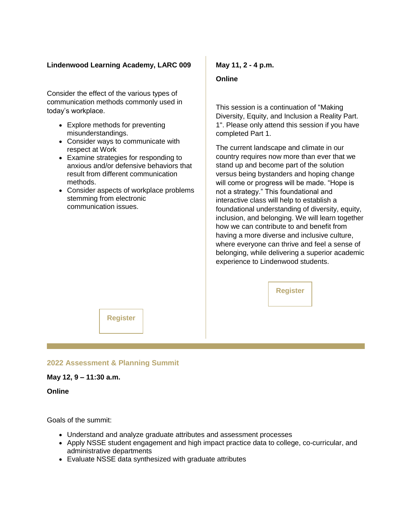#### **Lindenwood Learning Academy, LARC 009**

Consider the effect of the various types of communication methods commonly used in today's workplace.

- Explore methods for preventing misunderstandings.
- Consider ways to communicate with respect at Work
- Examine strategies for responding to anxious and/or defensive behaviors that result from different communication methods.
- Consider aspects of workplace problems stemming from electronic communication issues.

#### **May 11, 2 - 4 p.m.**

#### **Online**

This session is a continuation of "Making Diversity, Equity, and Inclusion a Reality Part. 1". Please only attend this session if you have completed Part 1.

The current landscape and climate in our country requires now more than ever that we stand up and become part of the solution versus being bystanders and hoping change will come or progress will be made. "Hope is not a strategy." This foundational and interactive class will help to establish a foundational understanding of diversity, equity, inclusion, and belonging. We will learn together how we can contribute to and benefit from having a more diverse and inclusive culture, where everyone can thrive and feel a sense of belonging, while delivering a superior academic experience to Lindenwood students.

**[Register](https://nam04.safelinks.protection.outlook.com/?url=https%3A%2F%2Fr20.rs6.net%2Ftn.jsp%3Ff%3D001qOhG47Rw4u5toYn1balY8HvEs94HSD3sFDjdBbWDCCHFwMCsDArmo1gz255rzRLoMKCstg_6P_AsV8uUW438CCnDD0Oowx93SZO4cE7BuenP4xPHrsznu4H0CPMSsLpCtUQ9WsaXL1kc3vqIHElF7ySPRtweX53JVn9AmRHTRo3vpu0mboctow%3D%3D%26c%3DhV4WlzT-TvjFWJsTAXV2IFj9j1IuaGSuI51wOVGWPu9ZO1ffptbasQ%3D%3D%26ch%3DJe0Mb5Cdo_TPE-n8x-deMODW9pTYgBJ0zhkJCyvUgc-RdXV1h9umsA%3D%3D&data=05%7C01%7Cphuffman%40lindenwood.edu%7Ca855865c0bbc4c32b6e608da2ddab439%7C3d72f08e540a4c68905d9e69c4d9c61e%7C1%7C0%7C637872714616588848%7CUnknown%7CTWFpbGZsb3d8eyJWIjoiMC4wLjAwMDAiLCJQIjoiV2luMzIiLCJBTiI6Ik1haWwiLCJXVCI6Mn0%3D%7C3000%7C%7C%7C&sdata=E%2F%2F6b7Wz3o%2FV2%2FHFaJ%2FPMCWoIFNkY1fALA306yq71%2BM%3D&reserved=0)**

**[Register](https://nam04.safelinks.protection.outlook.com/?url=https%3A%2F%2Fr20.rs6.net%2Ftn.jsp%3Ff%3D001qOhG47Rw4u5toYn1balY8HvEs94HSD3sFDjdBbWDCCHFwMCsDArmoxOjChwXyXcvqd_7Z_iKrS-qh63Irk3nktDmv02ujLgFEtCwLds9ajjYr_EO3r5Wq2F5bzJH4fTqZ3KYNfzXbnVHWGu90l76UJQflnA5RPowlSIGBnjFP-eIJuJhylg2Mj72ttJ_sGWQ%26c%3DhV4WlzT-TvjFWJsTAXV2IFj9j1IuaGSuI51wOVGWPu9ZO1ffptbasQ%3D%3D%26ch%3DJe0Mb5Cdo_TPE-n8x-deMODW9pTYgBJ0zhkJCyvUgc-RdXV1h9umsA%3D%3D&data=05%7C01%7Cphuffman%40lindenwood.edu%7Ca855865c0bbc4c32b6e608da2ddab439%7C3d72f08e540a4c68905d9e69c4d9c61e%7C1%7C0%7C637872714616588848%7CUnknown%7CTWFpbGZsb3d8eyJWIjoiMC4wLjAwMDAiLCJQIjoiV2luMzIiLCJBTiI6Ik1haWwiLCJXVCI6Mn0%3D%7C3000%7C%7C%7C&sdata=zUstZKJwFAQ71%2FvMGSugpqZ2KZTdqo0vnklinJOnGqs%3D&reserved=0)**

#### **2022 Assessment & Planning Summit**

#### **May 12, 9 – 11:30 a.m.**

**Online**

Goals of the summit:

- Understand and analyze graduate attributes and assessment processes
- Apply NSSE student engagement and high impact practice data to college, co-curricular, and administrative departments
- Evaluate NSSE data synthesized with graduate attributes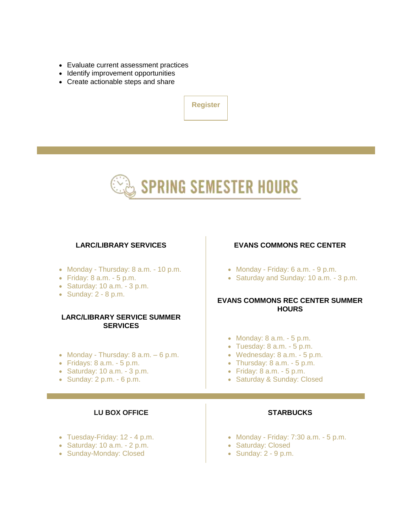- Evaluate current assessment practices
- Identify improvement opportunities
- Create actionable steps and share

**[Register](https://nam04.safelinks.protection.outlook.com/?url=https%3A%2F%2Fr20.rs6.net%2Ftn.jsp%3Ff%3D001qOhG47Rw4u5toYn1balY8HvEs94HSD3sFDjdBbWDCCHFwMCsDArmoxOwXQUwiB0A3RxLKCaLkTN4DSrX5LeDoMt5p8ZrXFplOG9f0BooLirjZGwieU_9eu3_CcgSbPWLtoxSUpg2z5GwgTM-N1bopr_LwSER3-w9OC2Ge1e_rYVZj28HVKkgWw%3D%3D%26c%3DhV4WlzT-TvjFWJsTAXV2IFj9j1IuaGSuI51wOVGWPu9ZO1ffptbasQ%3D%3D%26ch%3DJe0Mb5Cdo_TPE-n8x-deMODW9pTYgBJ0zhkJCyvUgc-RdXV1h9umsA%3D%3D&data=05%7C01%7Cphuffman%40lindenwood.edu%7Ca855865c0bbc4c32b6e608da2ddab439%7C3d72f08e540a4c68905d9e69c4d9c61e%7C1%7C0%7C637872714616588848%7CUnknown%7CTWFpbGZsb3d8eyJWIjoiMC4wLjAwMDAiLCJQIjoiV2luMzIiLCJBTiI6Ik1haWwiLCJXVCI6Mn0%3D%7C3000%7C%7C%7C&sdata=qDYah1nQAzuzEJ1YifcPytgL%2BIvm0eYDaFrxn8lFwuc%3D&reserved=0)**



#### **LARC/LIBRARY SERVICES**

- Monday Thursday: 8 a.m. 10 p.m.
- $\bullet$  Friday: 8 a.m. 5 p.m.
- $\bullet$  Saturday: 10 a.m. 3 p.m.
- $\bullet$  Sunday: 2 8 p.m.

#### **LARC/LIBRARY SERVICE SUMMER SERVICES**

- Monday Thursday:  $8$  a.m.  $-6$  p.m.
- $\bullet$  Fridays: 8 a.m.  $\text{-} 5 \text{ p.m.}$
- $\bullet$  Saturday: 10 a.m.  $\text{-} 3 \text{ p.m.}$
- $\bullet$  Sunday: 2 p.m.  $\text{-} 6$  p.m.

#### **LU BOX OFFICE**

- Tuesday-Friday: 12 4 p.m.
- $\bullet$  Saturday: 10 a.m. 2 p.m.
- Sunday-Monday: Closed

#### **EVANS COMMONS REC CENTER**

- $\bullet$  Monday Friday: 6 a.m. 9 p.m.
- Saturday and Sunday: 10 a.m. 3 p.m.

#### **EVANS COMMONS REC CENTER SUMMER HOURS**

- $\bullet$  Monday: 8 a.m.  $\text{-} 5 \text{ p.m.}$
- $\bullet$  Tuesday: 8 a.m.  $\text{-} 5 \text{ p.m.}$
- Wednesday: 8 a.m. 5 p.m.
- $\bullet$  Thursday: 8 a.m.  $\text{-} 5 \text{ p.m.}$
- Friday: 8 a.m. 5 p.m.
- Saturday & Sunday: Closed

#### **STARBUCKS**

- Monday Friday: 7:30 a.m. 5 p.m.
- Saturday: Closed
- $\bullet$  Sunday: 2 9 p.m.